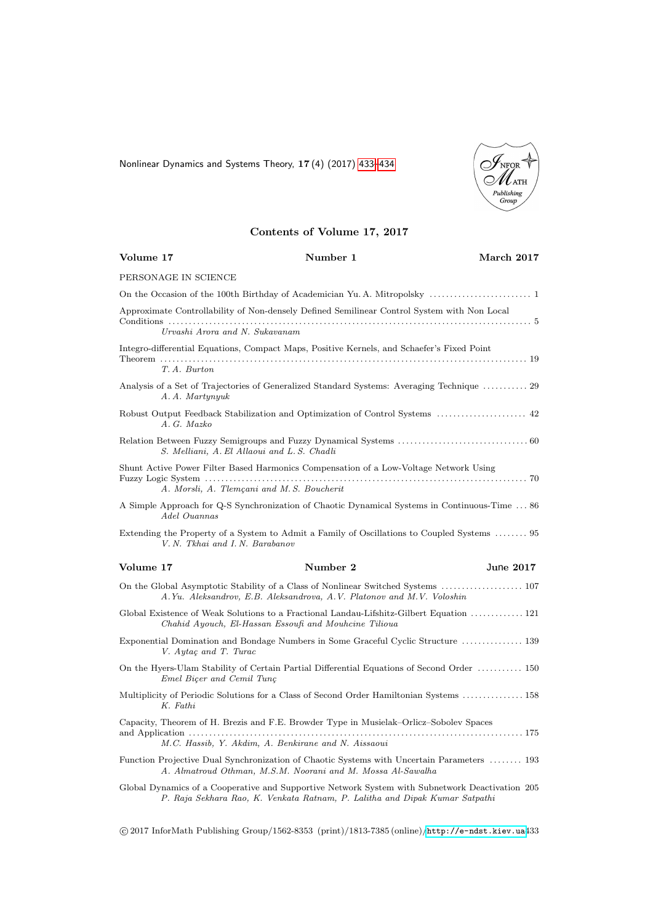<span id="page-0-0"></span>Nonlinear Dynamics and Systems Theory, 17 (4) (2017) [433–434](#page-0-0)



## Contents of Volume 17, 2017

| Volume 17                                   | Number 1                                                                                                                                                                       | March 2017 |
|---------------------------------------------|--------------------------------------------------------------------------------------------------------------------------------------------------------------------------------|------------|
| PERSONAGE IN SCIENCE                        |                                                                                                                                                                                |            |
|                                             |                                                                                                                                                                                |            |
|                                             | Approximate Controllability of Non-densely Defined Semilinear Control System with Non Local                                                                                    |            |
| Urvashi Arora and N. Sukavanam              |                                                                                                                                                                                |            |
|                                             | Integro-differential Equations, Compact Maps, Positive Kernels, and Schaefer's Fixed Point                                                                                     |            |
| T.A. Burton                                 |                                                                                                                                                                                |            |
| A.A. Martynyuk                              | Analysis of a Set of Trajectories of Generalized Standard Systems: Averaging Technique  29                                                                                     |            |
| A. G. Mazko                                 | Robust Output Feedback Stabilization and Optimization of Control Systems  42                                                                                                   |            |
| S. Melliani, A. El Allaoui and L. S. Chadli |                                                                                                                                                                                |            |
|                                             | Shunt Active Power Filter Based Harmonics Compensation of a Low-Voltage Network Using                                                                                          |            |
| A. Morsli, A. Tlemçani and M.S. Boucherit   |                                                                                                                                                                                |            |
| Adel Ouannas                                | A Simple Approach for Q-S Synchronization of Chaotic Dynamical Systems in Continuous-Time  86                                                                                  |            |
| V. N. Tkhai and I. N. Barabanov             | Extending the Property of a System to Admit a Family of Oscillations to Coupled Systems  95                                                                                    |            |
| Volume 17                                   | Number 2                                                                                                                                                                       | June 2017  |
|                                             | A.Yu. Aleksandrov, E.B. Aleksandrova, A.V. Platonov and M.V. Voloshin                                                                                                          |            |
|                                             | Global Existence of Weak Solutions to a Fractional Landau-Lifshitz-Gilbert Equation  121<br>Chahid Ayouch, El-Hassan Essoufi and Mouhcine Tilioua                              |            |
| V. Aytaç and T. Turac                       | Exponential Domination and Bondage Numbers in Some Graceful Cyclic Structure  139                                                                                              |            |
| Emel Bicer and Cemil Tunc                   | On the Hyers-Ulam Stability of Certain Partial Differential Equations of Second Order  150                                                                                     |            |
| K. Fathi                                    | Multiplicity of Periodic Solutions for a Class of Second Order Hamiltonian Systems  158                                                                                        |            |
|                                             | Capacity, Theorem of H. Brezis and F.E. Browder Type in Musielak–Orlicz–Sobolev Spaces                                                                                         |            |
|                                             | M.C. Hassib, Y. Akdim, A. Benkirane and N. Aissaoui                                                                                                                            |            |
|                                             | Function Projective Dual Synchronization of Chaotic Systems with Uncertain Parameters  193<br>A. Almatroud Othman, M.S.M. Noorani and M. Mossa Al-Sawalha                      |            |
|                                             | Global Dynamics of a Cooperative and Supportive Network System with Subnetwork Deactivation 205<br>P. Raja Sekhara Rao, K. Venkata Ratnam, P. Lalitha and Dipak Kumar Satpathi |            |

c 2017 InforMath Publishing Group/1562-8353 (print)/1813-7385 (online)/<http://e-ndst.kiev.ua>433